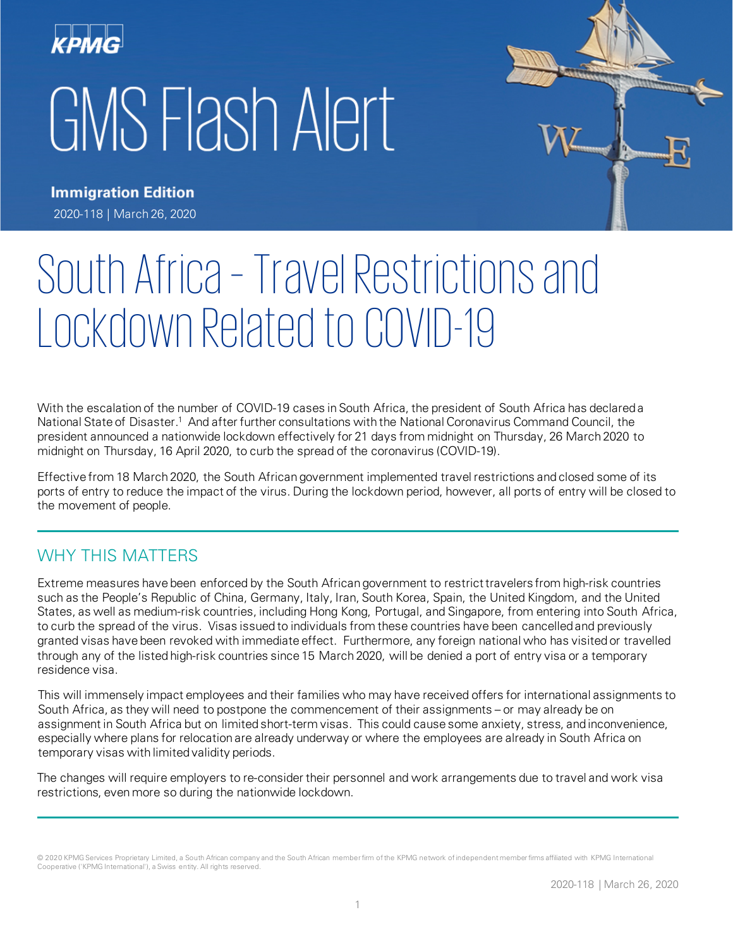



**Immigration Edition** 2020-118 | March 26, 2020

# South Africa – Travel Restrictions and Lockdown Related to COVID-19

With the escalation of the number of COVID-19 cases in South Africa, the president of South Africa has declared a National State of Disaster.<sup>1</sup> And after further consultations with the National Coronavirus Command Council, the president announced a nationwide lockdown effectively for 21 days from midnight on Thursday, 26 March 2020 to midnight on Thursday, 16 April 2020, to curb the spread of the coronavirus (COVID-19).

Effective from 18 March 2020, the South African government implemented travel restrictions and closed some of its ports of entry to reduce the impact of the virus. During the lockdown period, however, all ports of entry will be closed to the movement of people.

### WHY THIS MATTERS

Extreme measures have been enforced by the South African government to restrict travelers from high-risk countries such as the People's Republic of China, Germany, Italy, Iran, South Korea, Spain, the United Kingdom, and the United States, as well as medium-risk countries, including Hong Kong, Portugal, and Singapore, from entering into South Africa, to curb the spread of the virus. Visas issued to individuals from these countries have been cancelled and previously granted visas have been revoked with immediate effect. Furthermore, any foreign national who has visited or travelled through any of the listed high-risk countries since 15 March 2020, will be denied a port of entry visa or a temporary residence visa.

This will immensely impact employees and their families who may have received offers for international assignments to South Africa, as they will need to postpone the commencement of their assignments – or may already be on assignment in South Africa but on limited short-term visas. This could cause some anxiety, stress, and inconvenience, especially where plans for relocation are already underway or where the employees are already in South Africa on temporary visas with limited validity periods.

The changes will require employers to re-consider their personnel and work arrangements due to travel and work visa restrictions, even more so during the nationwide lockdown.

<sup>© 2020</sup> KPMG Services Proprietary Limited, a South African company and the South African member firm of the KPMG network of independent member firms affiliated with KPMG International Cooperative ('KPMG International'), a Swiss entity. All rights reserved.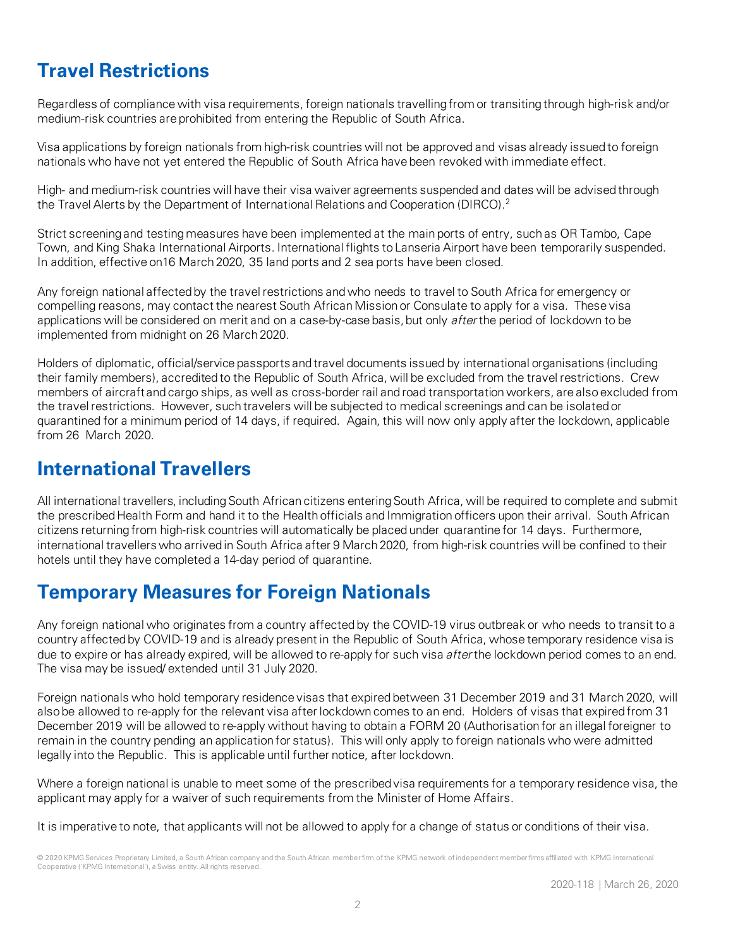# **Travel Restrictions**

Regardless of compliance with visa requirements, foreign nationals travelling from or transiting through high-risk and/or medium-risk countries are prohibited from entering the Republic of South Africa.

Visa applications by foreign nationals from high-risk countries will not be approved and visas already issued to foreign nationals who have not yet entered the Republic of South Africa have been revoked with immediate effect.

High- and medium-risk countries will have their visa waiver agreements suspended and dates will be advised through the Travel Alerts by the Department of International Relations and Cooperation (DIRCO).<sup>2</sup>

Strict screening and testing measures have been implemented at the main ports of entry, such as OR Tambo, Cape Town, and King Shaka International Airports. International flights to Lanseria Airport have been temporarily suspended. In addition, effective on16 March 2020, 35 land ports and 2 sea ports have been closed.

Any foreign national affected by the travel restrictions and who needs to travel to South Africa for emergency or compelling reasons, may contact the nearest South African Mission or Consulate to apply for a visa. These visa applications will be considered on merit and on a case-by-case basis, but only after the period of lockdown to be implemented from midnight on 26 March 2020.

Holders of diplomatic, official/service passports and travel documents issued by international organisations (including their family members), accredited to the Republic of South Africa, will be excluded from the travel restrictions. Crew members of aircraft and cargo ships, as well as cross-border rail and road transportation workers, are also excluded from the travel restrictions. However, such travelers will be subjected to medical screenings and can be isolated or quarantined for a minimum period of 14 days, if required. Again, this will now only apply after the lockdown, applicable from 26 March 2020.

## **International Travellers**

All international travellers, including South African citizens entering South Africa, will be required to complete and submit the prescribed Health Form and hand it to the Health officials and Immigration officers upon their arrival. South African citizens returning from high-risk countries will automatically be placed under quarantine for 14 days. Furthermore, international travellers who arrived in South Africa after 9 March 2020, from high-risk countries will be confined to their hotels until they have completed a 14-day period of quarantine.

## **Temporary Measures for Foreign Nationals**

Any foreign national who originates from a country affected by the COVID-19 virus outbreak or who needs to transit to a country affected by COVID-19 and is already present in the Republic of South Africa, whose temporary residence visa is due to expire or has already expired, will be allowed to re-apply for such visa after the lockdown period comes to an end. The visa may be issued/ extended until 31 July 2020.

Foreign nationals who hold temporary residence visas that expired between 31 December 2019 and 31 March 2020, will also be allowed to re-apply for the relevant visa after lockdown comes to an end. Holders of visas that expired from 31 December 2019 will be allowed to re-apply without having to obtain a FORM 20 (Authorisation for an illegal foreigner to remain in the country pending an application for status). This will only apply to foreign nationals who were admitted legally into the Republic. This is applicable until further notice, after lockdown.

Where a foreign national is unable to meet some of the prescribed visa requirements for a temporary residence visa, the applicant may apply for a waiver of such requirements from the Minister of Home Affairs.

It is imperative to note, that applicants will not be allowed to apply for a change of status or conditions of their visa.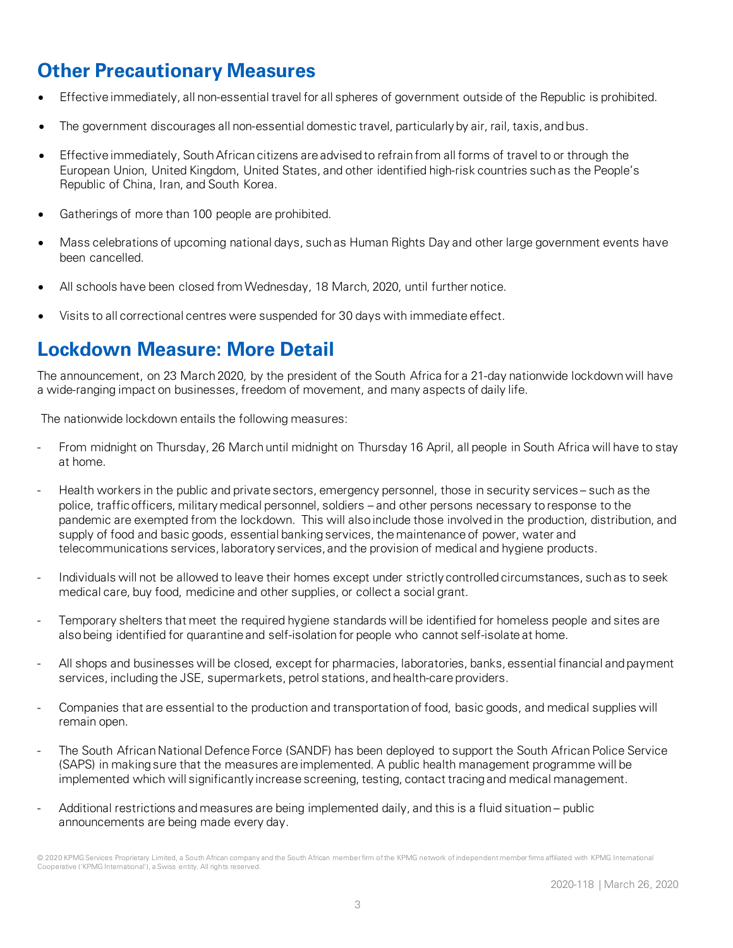## **Other Precautionary Measures**

- Effective immediately, all non-essential travel for all spheres of government outside of the Republic is prohibited.
- The government discourages all non-essential domestic travel, particularly by air, rail, taxis, and bus.
- Effective immediately, South African citizens are advised to refrain from all forms of travel to or through the European Union, United Kingdom, United States, and other identified high-risk countries such as the People's Republic of China, Iran, and South Korea.
- Gatherings of more than 100 people are prohibited.
- Mass celebrations of upcoming national days, such as Human Rights Day and other large government events have been cancelled.
- All schools have been closed from Wednesday, 18 March, 2020, until further notice.
- Visits to all correctional centres were suspended for 30 days with immediate effect.

## **Lockdown Measure: More Detail**

The announcement, on 23 March 2020, by the president of the South Africa for a 21-day nationwide lockdown will have a wide-ranging impact on businesses, freedom of movement, and many aspects of daily life.

The nationwide lockdown entails the following measures:

- From midnight on Thursday, 26 March until midnight on Thursday 16 April, all people in South Africa will have to stay at home.
- Health workers in the public and private sectors, emergency personnel, those in security services such as the police, traffic officers, military medical personnel, soldiers – and other persons necessary to response to the pandemic are exempted from the lockdown. This will also include those involved in the production, distribution, and supply of food and basic goods, essential banking services, the maintenance of power, water and telecommunications services, laboratory services, and the provision of medical and hygiene products.
- Individuals will not be allowed to leave their homes except under strictly controlled circumstances, such as to seek medical care, buy food, medicine and other supplies, or collect a social grant.
- Temporary shelters that meet the required hygiene standards will be identified for homeless people and sites are also being identified for quarantine and self-isolation for people who cannot self-isolate at home.
- All shops and businesses will be closed, except for pharmacies, laboratories, banks, essential financial and payment services, including the JSE, supermarkets, petrol stations, and health-care providers.
- Companies that are essential to the production and transportation of food, basic goods, and medical supplies will remain open.
- The South African National Defence Force (SANDF) has been deployed to support the South African Police Service (SAPS) in making sure that the measures are implemented. A public health management programme will be implemented which will significantly increase screening, testing, contact tracing and medical management.
- Additional restrictions and measures are being implemented daily, and this is a fluid situation public announcements are being made every day.

<sup>© 2020</sup> KPMG Services Proprietary Limited, a South African company and the South African member firm of the KPMG network of independent member firms affiliated with KPMG International Cooperative ('KPMG International'), a Swiss entity. All rights reserved.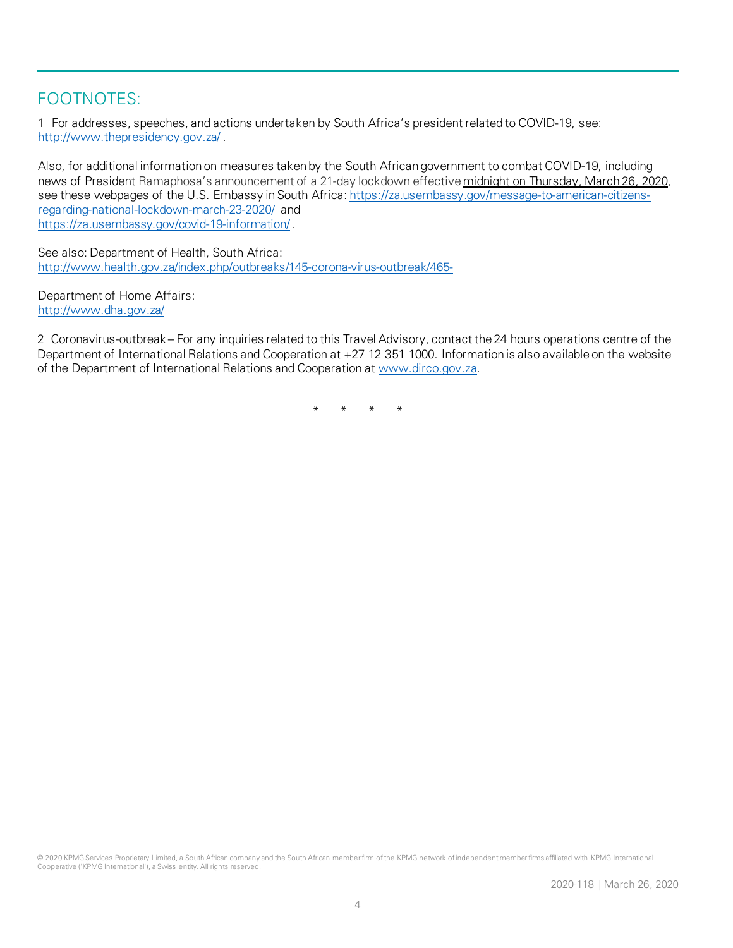#### FOOTNOTES:

1 For addresses, speeches, and actions undertaken by South Africa's president related to COVID-19, see: <http://www.thepresidency.gov.za/> .

Also, for additional information on measures taken by the South African government to combat COVID-19, including news of President Ramaphosa's announcement of a 21-day lockdown effective midnight on [Thursday,](https://iipstate.lightning.force.com/lightning/r/Case/500t000000TQn21AAD/view) March 26, 2020, see these webpages of the U.S. Embassy in South Africa[: https://za.usembassy.gov/message-to-american-citizens](https://za.usembassy.gov/message-to-american-citizens-regarding-national-lockdown-march-23-2020/)[regarding-national-lockdown-march-23-2020/](https://za.usembassy.gov/message-to-american-citizens-regarding-national-lockdown-march-23-2020/) and <https://za.usembassy.gov/covid-19-information/> .

See also: Department of Health, South Africa: <http://www.health.gov.za/index.php/outbreaks/145-corona-virus-outbreak/465->

Department of Home Affairs: <http://www.dha.gov.za/>

2 Coronavirus-outbreak – For any inquiries related to this Travel Advisory, contact the 24 hours operations centre of the Department of International Relations and Cooperation at +27 12 351 1000. Information is also available on the website of the Department of International Relations and Cooperation at [www.dirco.gov.za.](http://www.dirco.gov.za/)

\* \* \* \*

© 2020 KPMG Services Proprietary Limited, a South African company and the South African member firm of the KPMG network of independent member firms affiliated with KPMG International Cooperative ('KPMG International'), a Swiss entity. All rights reserved.